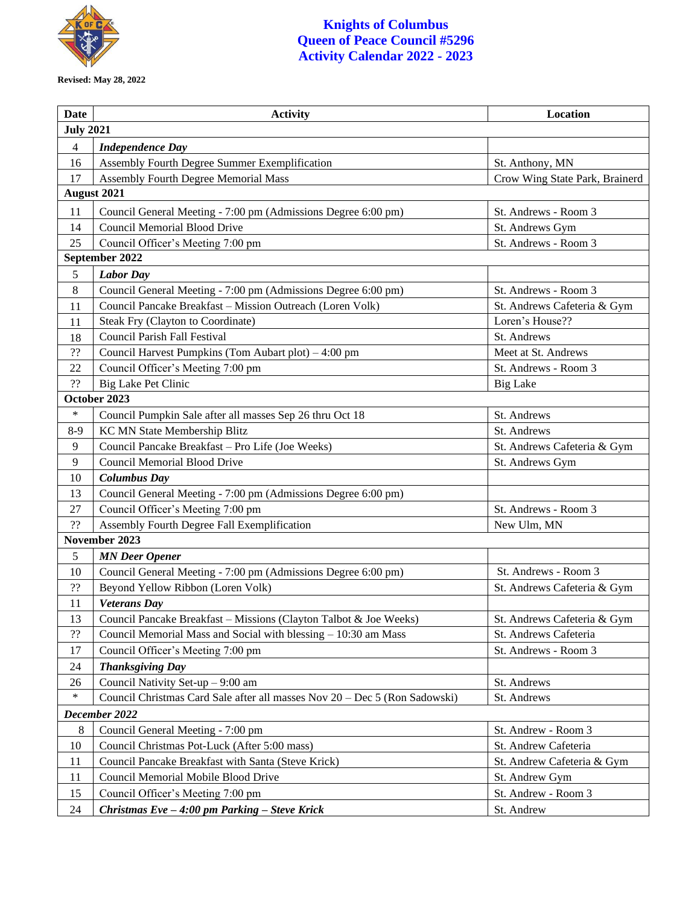

**Revised: May 28, 2022**

## **Knights of Columbus Queen of Peace Council #5296 Activity Calendar 2022 - 2023**

| Date               | <b>Activity</b>                                                            | Location                       |  |
|--------------------|----------------------------------------------------------------------------|--------------------------------|--|
| <b>July 2021</b>   |                                                                            |                                |  |
| $\overline{4}$     | <b>Independence Day</b>                                                    |                                |  |
| 16                 | Assembly Fourth Degree Summer Exemplification                              | St. Anthony, MN                |  |
| 17                 | Assembly Fourth Degree Memorial Mass                                       | Crow Wing State Park, Brainerd |  |
| <b>August 2021</b> |                                                                            |                                |  |
| 11                 | Council General Meeting - 7:00 pm (Admissions Degree 6:00 pm)              | St. Andrews - Room 3           |  |
| 14                 | <b>Council Memorial Blood Drive</b>                                        | St. Andrews Gym                |  |
| 25                 | Council Officer's Meeting 7:00 pm                                          | St. Andrews - Room 3           |  |
| September 2022     |                                                                            |                                |  |
| 5                  | <b>Labor Day</b>                                                           |                                |  |
| 8                  | Council General Meeting - 7:00 pm (Admissions Degree 6:00 pm)              | St. Andrews - Room 3           |  |
| 11                 | Council Pancake Breakfast - Mission Outreach (Loren Volk)                  | St. Andrews Cafeteria & Gym    |  |
| 11                 | Steak Fry (Clayton to Coordinate)                                          | Loren's House??                |  |
| 18                 | Council Parish Fall Festival                                               | St. Andrews                    |  |
| ??                 | Council Harvest Pumpkins (Tom Aubart plot) – 4:00 pm                       | Meet at St. Andrews            |  |
| 22                 | Council Officer's Meeting 7:00 pm                                          | St. Andrews - Room 3           |  |
| ??                 | Big Lake Pet Clinic                                                        | <b>Big Lake</b>                |  |
|                    | October 2023                                                               |                                |  |
| $\ast$             | Council Pumpkin Sale after all masses Sep 26 thru Oct 18                   | St. Andrews                    |  |
| $8-9$              | KC MN State Membership Blitz                                               | St. Andrews                    |  |
| 9                  | Council Pancake Breakfast - Pro Life (Joe Weeks)                           | St. Andrews Cafeteria & Gym    |  |
| 9                  | Council Memorial Blood Drive                                               | St. Andrews Gym                |  |
| 10                 | <b>Columbus Day</b>                                                        |                                |  |
| 13                 | Council General Meeting - 7:00 pm (Admissions Degree 6:00 pm)              |                                |  |
| 27                 | Council Officer's Meeting 7:00 pm                                          | St. Andrews - Room 3           |  |
| ??                 | Assembly Fourth Degree Fall Exemplification                                | New Ulm, MN                    |  |
| November 2023      |                                                                            |                                |  |
| 5                  | <b>MN</b> Deer Opener                                                      |                                |  |
| 10                 | Council General Meeting - 7:00 pm (Admissions Degree 6:00 pm)              | St. Andrews - Room 3           |  |
| ??                 | Beyond Yellow Ribbon (Loren Volk)                                          | St. Andrews Cafeteria & Gym    |  |
| 11                 | <b>Veterans Day</b>                                                        |                                |  |
| 13                 | Council Pancake Breakfast – Missions (Clayton Talbot & Joe Weeks)          | St. Andrews Cafeteria & Gym    |  |
| 22                 | Council Memorial Mass and Social with blessing - 10:30 am Mass             | St. Andrews Cafeteria          |  |
| 17                 | Council Officer's Meeting 7:00 pm                                          | St. Andrews - Room 3           |  |
| 24                 | <b>Thanksgiving Day</b>                                                    |                                |  |
| 26                 | Council Nativity Set-up - 9:00 am                                          | St. Andrews                    |  |
| $\ast$             | Council Christmas Card Sale after all masses Nov 20 - Dec 5 (Ron Sadowski) | St. Andrews                    |  |
| December 2022      |                                                                            |                                |  |
| 8                  | Council General Meeting - 7:00 pm                                          | St. Andrew - Room 3            |  |
| 10                 | Council Christmas Pot-Luck (After 5:00 mass)                               | St. Andrew Cafeteria           |  |
| 11                 | Council Pancake Breakfast with Santa (Steve Krick)                         | St. Andrew Cafeteria & Gym     |  |
| 11                 | Council Memorial Mobile Blood Drive                                        | St. Andrew Gym                 |  |
| 15                 | Council Officer's Meeting 7:00 pm                                          | St. Andrew - Room 3            |  |
| 24                 | Christmas $Eve - 4:00$ pm Parking - Steve Krick                            | St. Andrew                     |  |